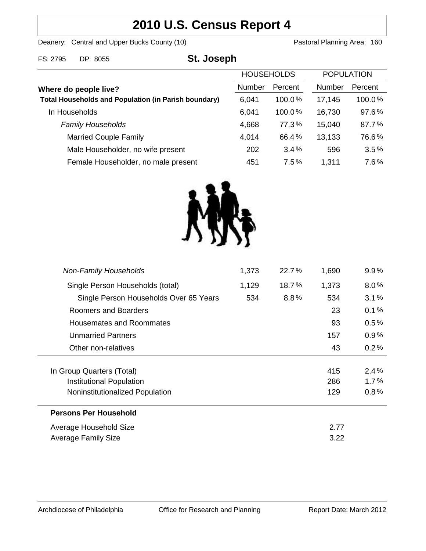# **2010 U.S. Census Report 4**

Deanery: Central and Upper Bucks County (10) Deanery: Central and Upper Bucks County (10)

| FS: 2795                                                                             | DP: 8055                            | St. Joseph    |                   |               |                   |        |
|--------------------------------------------------------------------------------------|-------------------------------------|---------------|-------------------|---------------|-------------------|--------|
|                                                                                      |                                     |               | <b>HOUSEHOLDS</b> |               | <b>POPULATION</b> |        |
| Where do people live?<br><b>Total Households and Population (in Parish boundary)</b> |                                     | <b>Number</b> | Percent           | <b>Number</b> | Percent           |        |
|                                                                                      |                                     |               | 6,041             | $100.0\%$     | 17,145            | 100.0% |
|                                                                                      | In Households                       |               | 6,041             | 100.0%        | 16,730            | 97.6%  |
|                                                                                      | <b>Family Households</b>            |               | 4,668             | 77.3%         | 15,040            | 87.7%  |
|                                                                                      | <b>Married Couple Family</b>        |               | 4,014             | 66.4%         | 13,133            | 76.6%  |
|                                                                                      | Male Householder, no wife present   |               | 202               | 3.4%          | 596               | 3.5%   |
|                                                                                      | Female Householder, no male present |               | 451               | 7.5%          | 1,311             | 7.6%   |



| <b>Non-Family Households</b>           | 1,373 | 22.7%    | 1,690 | 9.9%    |
|----------------------------------------|-------|----------|-------|---------|
| Single Person Households (total)       | 1,129 | $18.7\%$ | 1,373 | $8.0\%$ |
| Single Person Households Over 65 Years | 534   | 8.8%     | 534   | 3.1%    |
| Roomers and Boarders                   |       |          | 23    | 0.1%    |
| Housemates and Roommates               |       |          | 93    | $0.5\%$ |
| <b>Unmarried Partners</b>              |       |          | 157   | 0.9%    |
| Other non-relatives                    |       |          | 43    | 0.2%    |
|                                        |       |          |       |         |
| In Group Quarters (Total)              |       |          | 415   | 2.4%    |
| Institutional Population               |       |          | 286   | $1.7\%$ |
| Noninstitutionalized Population        |       |          | 129   | 0.8%    |
| <b>Persons Per Household</b>           |       |          |       |         |
| Average Household Size                 |       |          | 2.77  |         |
| Average Family Size                    |       |          | 3.22  |         |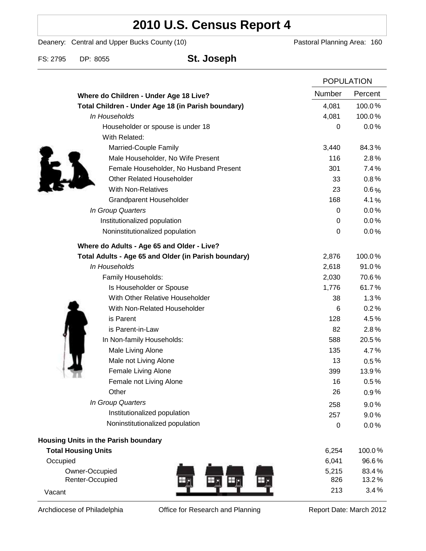# **2010 U.S. Census Report 4**

Deanery: Central and Upper Bucks County (10) Deanery: Central and Upper Bucks County (10)

FS: 2795 DP: 8055 **St. Joseph**

|                                                      |        | <b>POPULATION</b> |  |
|------------------------------------------------------|--------|-------------------|--|
| Where do Children - Under Age 18 Live?               | Number | Percent           |  |
| Total Children - Under Age 18 (in Parish boundary)   | 4,081  | 100.0%            |  |
| In Households                                        | 4,081  | 100.0%            |  |
| Householder or spouse is under 18                    | 0      | 0.0%              |  |
| With Related:                                        |        |                   |  |
| Married-Couple Family                                | 3,440  | 84.3%             |  |
| Male Householder, No Wife Present                    | 116    | 2.8%              |  |
| Female Householder, No Husband Present               | 301    | 7.4%              |  |
| <b>Other Related Householder</b>                     | 33     | 0.8%              |  |
| <b>With Non-Relatives</b>                            | 23     | $0.6\%$           |  |
| Grandparent Householder                              | 168    | 4.1%              |  |
| In Group Quarters                                    | 0      | 0.0%              |  |
| Institutionalized population                         | 0      | 0.0%              |  |
| Noninstitutionalized population                      | 0      | 0.0%              |  |
| Where do Adults - Age 65 and Older - Live?           |        |                   |  |
| Total Adults - Age 65 and Older (in Parish boundary) | 2,876  | 100.0%            |  |
| In Households                                        | 2,618  | 91.0%             |  |
| Family Households:                                   | 2,030  | 70.6%             |  |
| Is Householder or Spouse                             | 1,776  | 61.7%             |  |
| With Other Relative Householder                      | 38     | 1.3%              |  |
| With Non-Related Householder                         | 6      | 0.2%              |  |
| is Parent                                            | 128    | 4.5%              |  |
| is Parent-in-Law                                     | 82     | 2.8%              |  |
| In Non-family Households:                            | 588    | 20.5%             |  |
| Male Living Alone                                    | 135    | 4.7%              |  |
| Male not Living Alone                                | 13     | $0.5\%$           |  |
| Female Living Alone                                  | 399    | 13.9%             |  |
| Female not Living Alone                              | 16     | 0.5%              |  |
| Other                                                | 26     | 0.9%              |  |
| In Group Quarters                                    | 258    | 9.0%              |  |
| Institutionalized population                         | 257    | 9.0%              |  |
| Noninstitutionalized population                      | 0      | 0.0%              |  |
| Housing Units in the Parish boundary                 |        |                   |  |
| <b>Total Housing Units</b>                           | 6,254  | 100.0%            |  |
| Occupied                                             | 6,041  | 96.6%             |  |
| Owner-Occupied                                       | 5,215  | 83.4%             |  |
| Renter-Occupied                                      | 826    | 13.2%             |  |
| Vacant                                               | 213    | 3.4%              |  |

Archdiocese of Philadelphia **Office for Research and Planning** Report Date: March 2012